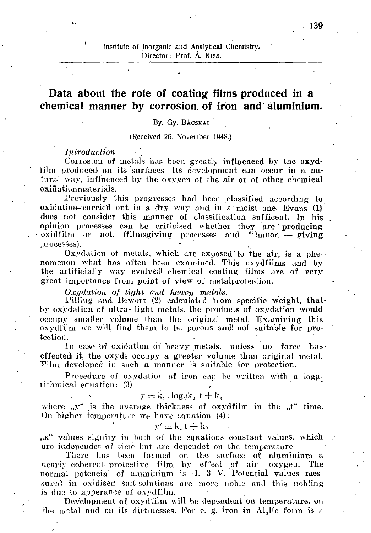# Institute of Inorganic and Analytical Chemistry, Director: Prof. A. Kiss.

# **Data about the role of coating films produced in a chemical manner by corrosion, of iron and aluminium.**

#### By. Gy. BACSKAI

(Received 26. November 1948.)

## *Introduction. •*

Corrosion of metals has been greatly influenced by the oxydfilm produced on its surfaces. Its development can occur in a natural way, influenced by the oxygen of the air or of other chemical oxidationmaterials.

Previously this progresses had been classified according to  $oxidation-carried$  out in a dry way and in a moist one. Evans  $(1)$ does not consider this manner of classification sufficent. In his opinion processes can be criticised whether they are producing • oxidfilm. or not. (filmsgiving processes and filmnon — giving processes). where  $\mathcal{M} = \{ \mathcal{M} \mid \mathcal{M} \in \mathcal{M} \}$  , where  $\mathcal{M} = \{ \mathcal{M} \mid \mathcal{M} \in \mathcal{M} \}$ 

Oxydation of metals, which are exposed to the air, is a phenomenon what has often been examined. This oxydfilms and by the artificially way evolved' chemical, coating films are of very great importance from point of view of metalprotection.

### *Oxydation of light and heavy metals.*

Pilling and Bewort (2) calculated from specific weight, thatby oxydation of ultra- light metals, the products of oxydation would occupy smaller volume than the original metal. Examining this oxydfilm we will find them to be porous and! not suitable for protection.

In case of oxidation of heavy metals, unless no force has effected it, the oxyds occupy a greater volume than original metal. Film developed in such a manner is suitable for protection.

Procedure of oxydation of iron can be written with a logarithmical equation: (3)

$$
y = k_1 \cdot \log l / k_2 \ t + k_3
$$

where  $, y''$  is the average thickness of oxydfilm in the  $, t''$  time. On higher temperature we have equation (4):

$$
\mathbf{y}^2 = \mathbf{k}_* \, \mathbf{t} + \mathbf{k}_5
$$

,,k" values signify in both of the equations constant values, which are independet of time but are dependet on the temperature.

There has been formed on the surface of aluminium a nearly coherent protective film by effect of air- oxygen. The normal potencial of aluminium is -1. 3 V. Potential values messured in oxidised salt-solutions are more noble and this nobling is,due to apperance of oxydfiJin.

Development of oxydfilm will be dependent on temperature, on  $f$ he metal and on its dirtinesses. For e. g. iron in Al ${}_3$ Fe form is a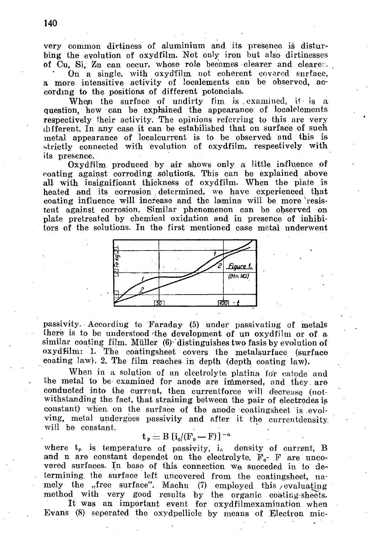very common dirtiness of aluminium and its presence is disturbing the evolution of oxydfilm. Not only iron but also dirtinesses of Cu, Si, Zn can occur, whose role becomes clearer and clearer.

On a single, with oxydfilm not coherent covered surface. a more intensitive activity of localements can be observed, according to the positions of different potencials.

When the surface of undirty fim is examined, it is a question, how can be explained the appearance of localelements respectively their activity. The opinions referring to this are very different. In any case it can be estabilished that on surface of such metal appearance of localcurrent is to be observed and this is strictly connected with evolution of oxydfilm, respectively with its presence.

Oxydfilm produced by air shows only a little influence of coating against corroding solutions. This can be explained above all with insignificant thickness of oxydfilm. When the plate is heated and its corrosion determined, we have experienced that coating influence will increase and the lamina will be more resistent against corrosion. Similar phenomenon can be observed on plate pretreated by chemical oxidation and in presence of inhibifors of the solutions. In the first mentioned case metal underwent



passivity. According to Faraday (5) under passivating of metals there is to be understood the development of un oxydfilm or of a similar coating film. Müller (6) distinguishes two fasis by evolution of oxydfilm: 1. The coatingsheet covers the metalsurface (surface eoating law). 2. The film reaches in depth (depth coating law).

When in a solution of an electrolyte plating for catode and the metal to be examined for anode are immersed, and they are conducted into the current, then currentforce will decrease (notwithstanding the fact, that straining between the pair of electrodes is constant) when on the surface of the anode coatingsheet is evolving, metal undergoes passivity and after it the currentdensity. will be constant.

$$
t_p = B [i_0/(F_0 - F)]^{-n}
$$

where  $t_p$  is temperature of passivity,  $i_a$  density of current, B and n are constant dependet on the electrolyte.  $F_0$ - F are uncovered surfaces. In base of this connection we succeded in to determining the surface left uncovered from the coatingsheet, namely the "free surface". Machu (7) employed this evaluating method with very good results by the organic coating-sheets.

It was an important event for oxydfilmexamination when Evans (8) seperated the oxydpellicle by means of Electron mic-

140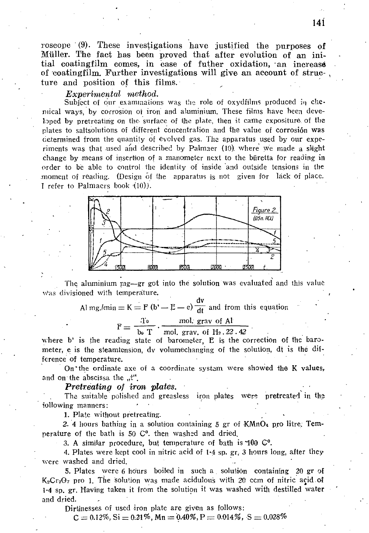roscope  $(9)$ . These investigations have justified the purposes of Müller. The fact has been proved that after evolution of an initial coatingfilm comes, in case of futher oxidation, an increase of coatingfilm. Further investigations will give an account of structure and position of this films.

## *Experimental method.*

Subject of our examinations was the role of oxydfilms produced in chemical ways, by corrosion oí iron and aluminium. These films have been developed by pretreating on the surface of the plate, then it came expositure of the plates to saltsolutions of different concentration and the value of corrosión was determined from the quantity of evolved gas. The apparatus used by our experiments was that used and described by Palmaer (10) where we made a slight change by means of insertion of a manometer next to the biiretta for reading in order to be able to control the identity of inside and Outside tensions in the moment of reading. (Design of the apparatus is not given for lack of place. I refer to Palmacrs book (10).



The aluminium  $mg = gr$  got into the solution was evaluated and this value Was divisioned with temperature.

> dv  $A_1$  mg./min  $= K - 1$  (c)  $=$   $\frac{1}{2}$   $=$   $\frac{1}{2}$  and from the equation

> > $\frac{1}{\sqrt{2}}$ ,  $\frac{1}{\sqrt{2}}$

 $\frac{100 \text{ L}}{200 \text{ A}} = \frac{11101}{200 \text{ A}} = \frac{1}{200 \text{ A}} = \frac{1}{200 \text{ A}} = \frac{1}{200 \text{ A}} = \frac{1}{200 \text{ A}} = \frac{1}{200 \text{ A}} = \frac{1}{200 \text{ A}} = \frac{1}{200 \text{ A}} = \frac{1}{200 \text{ A}} = \frac{1}{200 \text{ A}} = \frac{1}{200 \text{ A}} = \frac{1}{200 \text{ A}} = \frac{1}{200 \text{ A}} = \frac{1}{200 \text{ A}}$ where b' is the reading state of barometer, E is the correction of the barometer, e is the steamtension, dv volumechanging of the solution,  $d_1$  is the  $-1$ ference of temperature.

On the ordinate axe of a coordinate system were showed the  $K$  values, and on the abscissa the "t".

#### *Pretreating of iron plates.*

The suitable polished and greasless iron plates were pretreated in the following manners:

1. Plate without pretreating.

2. 4 hours bathing in a solution containing  $5$  gr of KMnO<sub>4</sub> pro litre. Temperature of the bath is 50 C°. then washed and dried.

3. A similar procedure, but temperature of bath is 100 G°.

4. Plates were kept cool in nitric acid of 1-4 sp. gr. 3 hours long, after they were washed and dried.

5. Plates vvere 6 hours boiled in such a solution containing 20 gr of  $K<sub>2</sub>Cr<sub>2</sub>O<sub>7</sub>$  pro 1. The solution was made acidulous with 20 ccm of nitric acid of 1-4 sp. gr. Having taken it from the solution it was washed with destilled water and dried.

Dirtinesses of used iron plate are given as follows:

 $C = 0.12\%,$  Si = 0.21%, Mn = 0.40%, P = 0.014%, S = 0.028%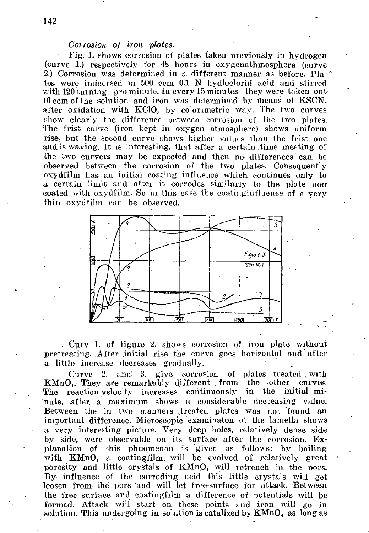# *Corrosion of iron plates.*

• Fig. 1. shows corrosion of plates taken previously in hydrogen (curve 1.) respectively for 48 hours in oxygenathmosphere (curve 2.) Corrosion was determined in a different manner as before. Plates were immersed in 500 ccm 0.1 N hydloclorid acid and stirred with 120 turning pro minute. In every 15 minutes they were taken out 10 ccm of the solution and iron was determined by means of KSCN, after oxidation with  $KClO<sub>a</sub>$  by colorimetric way. The two curves show clearly the difference between corrosion of the two plates. The frist curve (iron kept in oxygen atmosphere) shows uniform rise, but the second curve shows higher values than the frist one and is waving. It is interesting, that after a certain .time meeting of the two curvers may be expected and then no differences can be observed between the corrosion of the two plates. Consequently oxydfilm has an initial coating influence which continues only to a certain limit and after it corrodes similarly to the plate non coated with oxydfilm. So in this case the coatinginfluence of a very thin oxydfilm can be observed.



. Curv 1. of figure 2. shows corrosion of iron plate without pretreating. After initial rise the curve goes horizontal and after a little increase decreases gradually.

Curve 2. and! 3. give corrosion of plates treated . with  $KMnO<sub>4</sub>$ . They are remarkably different from the other curves. The reaction-velocity increases continuously in the initial minute, after, a maximum shows a considerable decreasing value. Between the in two manners treated plates was not found an important difference. Microscopic examinaton of the lamella shows a very interesting picture. Very deep holes, relatively dense side by side, were observable on its surface after the corrosion. Explanation of this phnomenon is given as follows: by boiling with  $KMnO<sub>4</sub>$  a coatingfilm will be evolved of relatively great porosity and little crystals of KMnO<sub>4</sub> will retrench in the pors. By influence of the corroding acid this little crystals will get loosen from the pors and will let free-surface for attack. Between the free surface and coatingfilm a difference of potentials will be formed. Attack will start on these points and iron will go in solution. This undergoing in solution is catalized by  $KMnO<sub>4</sub>$  as long as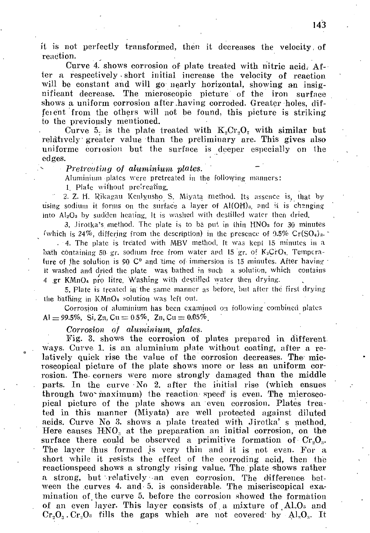it is not perfectly transformed, then it decreases the velocity, of reaction.

Curve 4. shows corrosion of plate treated with nitric acid. After a respectively - short initial increase the velocity of reaction will be constant and will go nearly horizontal, showing an insignificant decrease. The microscopic picture of the iron surface shows a uniform corrosion after .having corroded. Greater holes, diffeient from the others will not be found, this picture is striking to the previously mentioned.

Curve 5. is the plate treated with  $K_2Cr_2O_7$  with similar but relative]y greater value than the preliminary are. This gives also uniforme corrosion but the surface is deeper especially on the edges.

#### *Pretreating of aluminium plates.*

Aluminium plates were pretreated in the follovying manners:

1. Plate without preireating.

2. Z. H. Rikagau Kenlyusho S. Miyata method. Its assence is, that by using sodium it forms on the surface a layer of  $Al(OH)_{a}$ , and it is changing into  $Al_2O_3$  by sudden heating. It is washed with destilled water then dried.

3. Jirotka's method. The plate is to be put in thin HNOs for 30 minutes (which is 24%, differing from the description) in the presence of  $9.5\%$  Cr( $SO<sub>4</sub>$ ). . 4. The plate is treated with MBV method, ft was kepi 15 minutes in a bath containing 50 gr. sodium free irom water and 15 gr. of  $K_2CrO_1$ . Temperature of the solution is 90  $C<sup>0</sup>$  and time of immersion is 15 minutes. After having it washed and dried the plate was bathed in such a solution, which contains

4 .gr KMnO<sub>4</sub> pro litre. Washing with destilled water then drying.

5. Plate is treated in the same manner as before, but after the first drying the bathing in  $KMnO<sub>4</sub>$  solution was left out.

Corrosion of **aluminium** has been examined on following combined plates  $Al = 99.5\%, Si, Zn, Cu = 0.5\%, Zn, Cu = 0.05\%$ .

## *Corrosion of aluminium^ plates.*

Fig. 3. shows the corrosion of plates prepared in different ways. Curve 1, is an aluminium plate without coating, after a relatively quick rise the value of the corrosion decreases. The microscopical picture of the plate shows more or less an uniform corrosion. The corners were more strongly damaged than the middle parts. In the curve No 2. after the initial rise (which ensuas through two maximum) the reaction speed is even. The microscopical picture of the plate shows an even corrosion. Plates treated in this manner (Miyata) are well protected against diluted acids. Curve No 3. shows a plate treated with Jirotka' s method. Here causes  $HNO<sub>a</sub>$  at the preparation an initial corrosion, on the surface there could be observed a primitive formation of  $Cr<sub>2</sub>O<sub>3</sub>$ . The layer thus formed is very thin and it is not even. For a short while it resists the effect of the corroding acid, then the reactionspeed shows a strongly rising value. The plate shows rather a strong, but relatively an even corrosion. The difference between the curves 4. and 5. is considerable. The miscriscopical examination of. the curve 5. before the corrosion showed the formation of an even layer. This layer consists of a mixture of Al.O<sub>3</sub> and  $Cr_2O_3$ .  $Cr_2O_3$  fills the gaps which are not covered by  $Al_2O_3$ . It